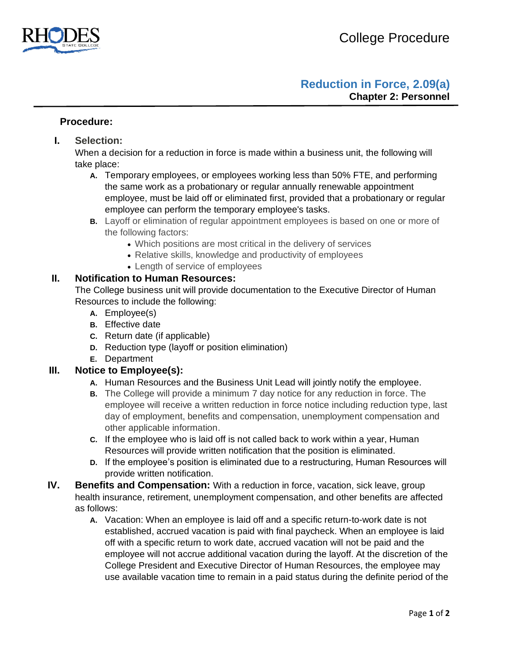

## **Reduction in Force, 2.09(a) Chapter 2: Personnel**

#### **Procedure:**

**I. Selection:** 

When a decision for a reduction in force is made within a business unit, the following will take place:

- **A.** Temporary employees, or employees working less than 50% FTE, and performing the same work as a probationary or regular annually renewable appointment employee, must be laid off or eliminated first, provided that a probationary or regular employee can perform the temporary employee's tasks.
- **B.** Layoff or elimination of regular appointment employees is based on one or more of the following factors:
	- Which positions are most critical in the delivery of services
	- Relative skills, knowledge and productivity of employees
	- Length of service of employees

#### **II. Notification to Human Resources:**

The College business unit will provide documentation to the Executive Director of Human Resources to include the following:

- **A.** Employee(s)
- **B.** Effective date
- **C.** Return date (if applicable)
- **D.** Reduction type (layoff or position elimination)
- **E.** Department

### **III. Notice to Employee(s):**

- **A.** Human Resources and the Business Unit Lead will jointly notify the employee.
- **B.** The College will provide a minimum 7 day notice for any reduction in force. The employee will receive a written reduction in force notice including reduction type, last day of employment, benefits and compensation, unemployment compensation and other applicable information.
- **C.** If the employee who is laid off is not called back to work within a year, Human Resources will provide written notification that the position is eliminated.
- **D.** If the employee's position is eliminated due to a restructuring, Human Resources will provide written notification.
- **IV. Benefits and Compensation:** With a reduction in force, vacation, sick leave, group health insurance, retirement, unemployment compensation, and other benefits are affected as follows:
	- **A.** Vacation: When an employee is laid off and a specific return-to-work date is not established, accrued vacation is paid with final paycheck. When an employee is laid off with a specific return to work date, accrued vacation will not be paid and the employee will not accrue additional vacation during the layoff. At the discretion of the College President and Executive Director of Human Resources, the employee may use available vacation time to remain in a paid status during the definite period of the